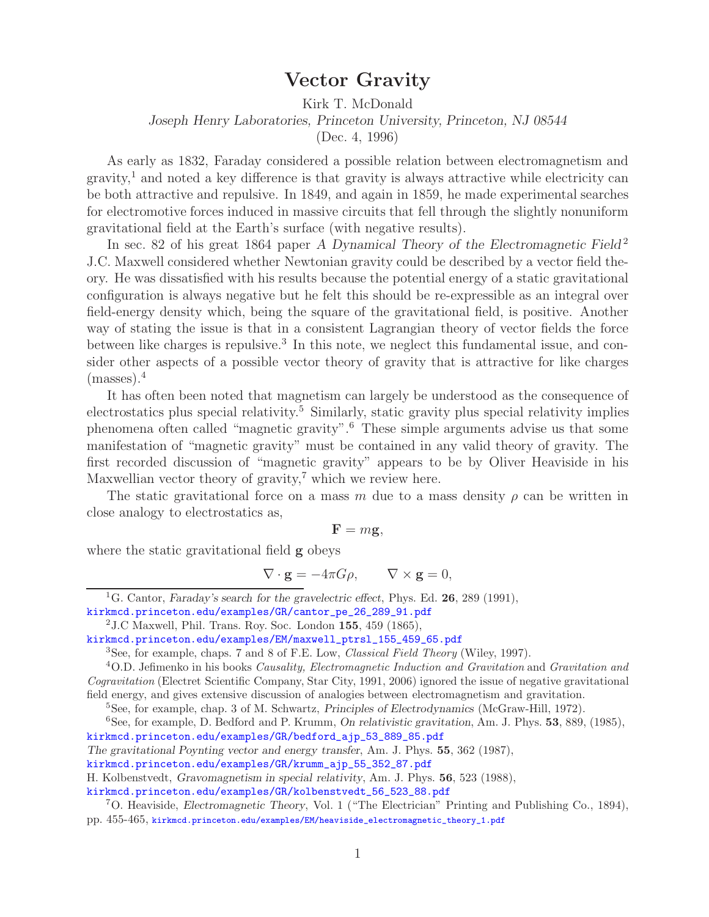**Vector Gravity** Kirk T. McDonald *Joseph Henry Laboratories, Princeton University, Princeton, NJ 08544* (Dec. 4, 1996)

As early as 1832, Faraday considered a possible relation between electromagnetism and gravity,<sup>1</sup> and noted a key difference is that gravity is always attractive while electricity can be both attractive and repulsive. In 1849, and again in 1859, he made experimental searches for electromotive forces induced in massive circuits that fell through the slightly nonuniform gravitational field at the Earth's surface (with negative results).

In sec. 82 of his great 1864 paper *A Dynamical Theory of the Electromagnetic Field*<sup>2</sup> J.C. Maxwell considered whether Newtonian gravity could be described by a vector field theory. He was dissatisfied with his results because the potential energy of a static gravitational configuration is always negative but he felt this should be re-expressible as an integral over field-energy density which, being the square of the gravitational field, is positive. Another way of stating the issue is that in a consistent Lagrangian theory of vector fields the force between like charges is repulsive.<sup>3</sup> In this note, we neglect this fundamental issue, and consider other aspects of a possible vector theory of gravity that is attractive for like charges  $(masses).<sup>4</sup>$ 

It has often been noted that magnetism can largely be understood as the consequence of electrostatics plus special relativity.<sup>5</sup> Similarly, static gravity plus special relativity implies phenomena often called "magnetic gravity".<sup>6</sup> These simple arguments advise us that some manifestation of "magnetic gravity" must be contained in any valid theory of gravity. The first recorded discussion of "magnetic gravity" appears to be by Oliver Heaviside in his Maxwellian vector theory of gravity,<sup>7</sup> which we review here.

The static gravitational force on a mass m due to a mass density  $\rho$  can be written in close analogy to electrostatics as,

$$
\mathbf{F}=m\mathbf{g},
$$

where the static gravitational field **g** obeys

$$
\nabla \cdot \mathbf{g} = -4\pi G \rho, \qquad \nabla \times \mathbf{g} = 0,
$$

<sup>1</sup>G. Cantor, *Faraday's search for the gravelectric effect*, Phys. Ed. **26**, 289 (1991), kirkmcd.princeton.edu/examples/GR/cantor\_pe\_26\_289\_91.pdf

<sup>2</sup>J.C Maxwell, Phil. Trans. Roy. Soc. London **155**, 459 (1865),

kirkmcd.princeton.edu/examples/EM/maxwell\_ptrsl\_155\_459\_65.pdf

<sup>3</sup>See, for example, chaps. 7 and 8 of F.E. Low, *Classical Field Theory* (Wiley, 1997).

<sup>4</sup>O.D. Jefimenko in his books *Causality, Electromagnetic Induction and Gravitation* and *Gravitation and Cogravitation* (Electret Scientific Company, Star City, 1991, 2006) ignored the issue of negative gravitational field energy, and gives extensive discussion of analogies between electromagnetism and gravitation.

<sup>5</sup>See, for example, chap. 3 of M. Schwartz, *Principles of Electrodynamics* (McGraw-Hill, 1972).

<sup>6</sup>See, for example, D. Bedford and P. Krumm, *On relativistic gravitation*, Am. J. Phys. **53**, 889, (1985), kirkmcd.princeton.edu/examples/GR/bedford\_ajp\_53\_889\_85.pdf

*The gravitational Poynting vector and energy transfer*, Am. J. Phys. **55**, 362 (1987),

kirkmcd.princeton.edu/examples/GR/krumm\_ajp\_55\_352\_87.pdf

H. Kolbenstvedt, *Gravomagnetism in special relativity*, Am. J. Phys. **56**, 523 (1988),

kirkmcd.princeton.edu/examples/GR/kolbenstvedt\_56\_523\_88.pdf

<sup>7</sup>O. Heaviside, *Electromagnetic Theory*, Vol. 1 ("The Electrician" Printing and Publishing Co., 1894), pp. 455-465, kirkmcd.princeton.edu/examples/EM/heaviside\_electromagnetic\_theory\_1.pdf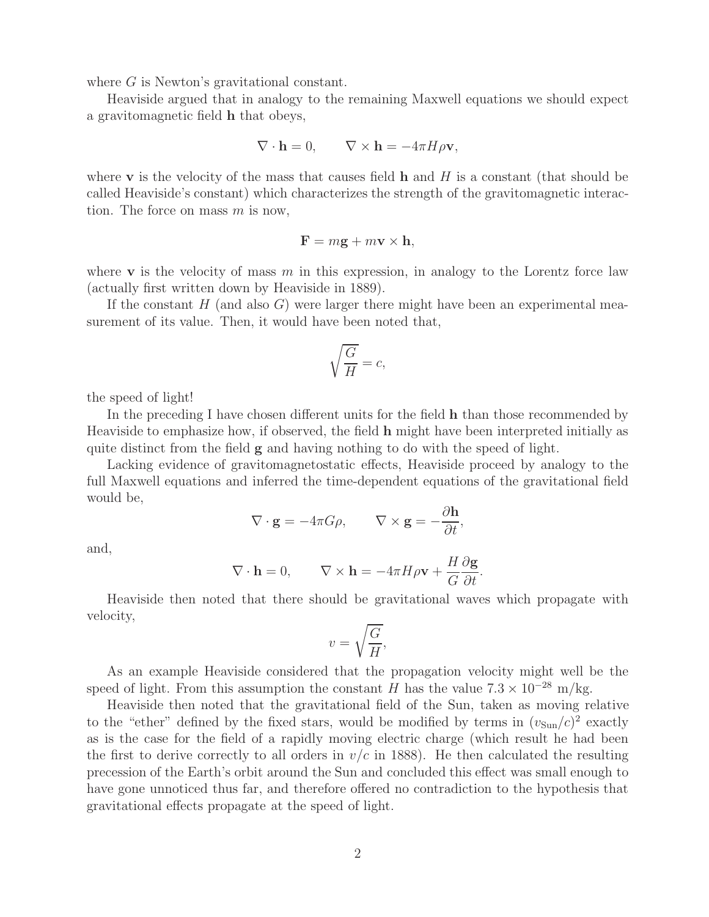where G is Newton's gravitational constant.

Heaviside argued that in analogy to the remaining Maxwell equations we should expect a gravitomagnetic field **h** that obeys,

$$
\nabla \cdot \mathbf{h} = 0, \qquad \nabla \times \mathbf{h} = -4\pi H \rho \mathbf{v},
$$

where **v** is the velocity of the mass that causes field **h** and <sup>H</sup> is a constant (that should be called Heaviside's constant) which characterizes the strength of the gravitomagnetic interaction. The force on mass  $m$  is now,

$$
\mathbf{F} = m\mathbf{g} + m\mathbf{v} \times \mathbf{h},
$$

where **v** is the velocity of mass  $m$  in this expression, in analogy to the Lorentz force law (actually first written down by Heaviside in 1889).

If the constant  $H$  (and also  $G$ ) were larger there might have been an experimental measurement of its value. Then, it would have been noted that,

$$
\sqrt{\frac{G}{H}} = c,
$$

the speed of light!

In the preceding I have chosen different units for the field **h** than those recommended by Heaviside to emphasize how, if observed, the field **h** might have been interpreted initially as quite distinct from the field **g** and having nothing to do with the speed of light.

Lacking evidence of gravitomagnetostatic effects, Heaviside proceed by analogy to the full Maxwell equations and inferred the time-dependent equations of the gravitational field would be,

$$
\nabla \cdot \mathbf{g} = -4\pi G \rho, \qquad \nabla \times \mathbf{g} = -\frac{\partial \mathbf{h}}{\partial t},
$$

and,

$$
\nabla \cdot \mathbf{h} = 0, \qquad \nabla \times \mathbf{h} = -4\pi H \rho \mathbf{v} + \frac{H}{G} \frac{\partial \mathbf{g}}{\partial t}.
$$

Heaviside then noted that there should be gravitational waves which propagate with velocity,

$$
v = \sqrt{\frac{G}{H}},
$$

As an example Heaviside considered that the propagation velocity might well be the speed of light. From this assumption the constant H has the value  $7.3 \times 10^{-28}$  m/kg.

Heaviside then noted that the gravitational field of the Sun, taken as moving relative to the "ether" defined by the fixed stars, would be modified by terms in  $(v_{\text{Sun}}/c)^2$  exactly as is the case for the field of a rapidly moving electric charge (which result he had been the first to derive correctly to all orders in  $v/c$  in 1888). He then calculated the resulting precession of the Earth's orbit around the Sun and concluded this effect was small enough to have gone unnoticed thus far, and therefore offered no contradiction to the hypothesis that gravitational effects propagate at the speed of light.